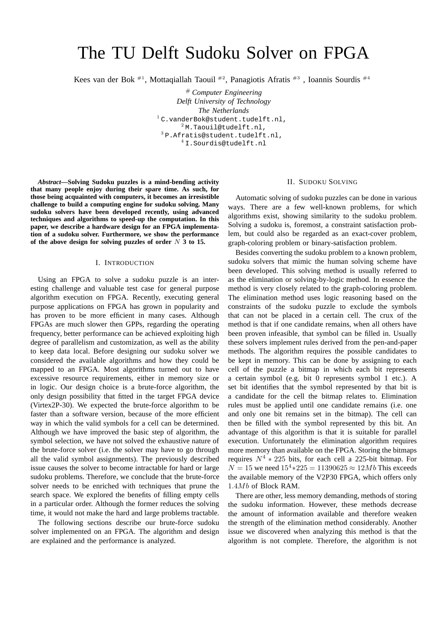# The TU Delft Sudoku Solver on FPGA

Kees van der Bok  $^{#1}$ , Mottagiallah Taouil  $^{#2}$ , Panagiotis Afratis  $^{#3}$ , Ioannis Sourdis  $^{#4}$ 

# *Computer Engineering Delft University of Technology The Netherlands* <sup>1</sup> C.vanderBok@student.tudelft.nl, <sup>2</sup> M.Taouil@tudelft.nl, <sup>3</sup> P.Afratis@student.tudelft.nl, <sup>4</sup> I.Sourdis@tudelft.nl

*Abstract***—Solving Sudoku puzzles is a mind-bending activity that many people enjoy during their spare time. As such, for those being acquainted with computers, it becomes an irresistible challenge to build a computing engine for sudoku solving. Many sudoku solvers have been developed recently, using advanced techniques and algorithms to speed-up the computation. In this paper, we describe a hardware design for an FPGA implementation of a sudoku solver. Furthermore, we show the performance of the above design for solving puzzles of order** N **3 to 15.**

#### I. INTRODUCTION

Using an FPGA to solve a sudoku puzzle is an interesting challenge and valuable test case for general purpose algorithm execution on FPGA. Recently, executing general purpose applications on FPGA has grown in popularity and has proven to be more efficient in many cases. Although FPGAs are much slower then GPPs, regarding the operating frequency, better performance can be achieved exploiting high degree of parallelism and customization, as well as the ability to keep data local. Before designing our sudoku solver we considered the available algorithms and how they could be mapped to an FPGA. Most algorithms turned out to have excessive resource requirements, either in memory size or in logic. Our design choice is a brute-force algorithm, the only design possibility that fitted in the target FPGA device (Virtex2P-30). We expected the brute-force algorithm to be faster than a software version, because of the more efficient way in which the valid symbols for a cell can be determined. Although we have improved the basic step of algorithm, the symbol selection, we have not solved the exhaustive nature of the brute-force solver (i.e. the solver may have to go through all the valid symbol assignments). The previously described issue causes the solver to become intractable for hard or large sudoku problems. Therefore, we conclude that the brute-force solver needs to be enriched with techniques that prune the search space. We explored the benefits of filling empty cells in a particular order. Although the former reduces the solving time, it would not make the hard and large problems tractable.

The following sections describe our brute-force sudoku solver implemented on an FPGA. The algorithm and design are explained and the performance is analyzed.

### II. SUDOKU SOLVING

Automatic solving of sudoku puzzles can be done in various ways. There are a few well-known problems, for which algorithms exist, showing similarity to the sudoku problem. Solving a sudoku is, foremost, a constraint satisfaction problem, but could also be regarded as an exact-cover problem, graph-coloring problem or binary-satisfaction problem.

Besides converting the sudoku problem to a known problem, sudoku solvers that mimic the human solving scheme have been developed. This solving method is usually referred to as the elimination or solving-by-logic method. In essence the method is very closely related to the graph-coloring problem. The elimination method uses logic reasoning based on the constraints of the sudoku puzzle to exclude the symbols that can not be placed in a certain cell. The crux of the method is that if one candidate remains, when all others have been proven infeasible, that symbol can be filled in. Usually these solvers implement rules derived from the pen-and-paper methods. The algorithm requires the possible candidates to be kept in memory. This can be done by assigning to each cell of the puzzle a bitmap in which each bit represents a certain symbol (e.g. bit 0 represents symbol 1 etc.). A set bit identifies that the symbol represented by that bit is a candidate for the cell the bitmap relates to. Elimination rules must be applied until one candidate remains (i.e. one and only one bit remains set in the bitmap). The cell can then be filled with the symbol represented by this bit. An advantage of this algorithm is that it is suitable for parallel execution. Unfortunately the elimination algorithm requires more memory than available on the FPGA. Storing the bitmaps requires  $N^4 * 225$  bits, for each cell a 225-bit bitmap. For  $N = 15$  we need  $15<sup>4</sup> * 225 = 11390625 ≈ 12Mb$  This exceeds the available memory of the V2P30 FPGA, which offers only 1.4Mb of Block RAM.

There are other, less memory demanding, methods of storing the sudoku information. However, these methods decrease the amount of information available and therefore weaken the strength of the elimination method considerably. Another issue we discovered when analyzing this method is that the algorithm is not complete. Therefore, the algorithm is not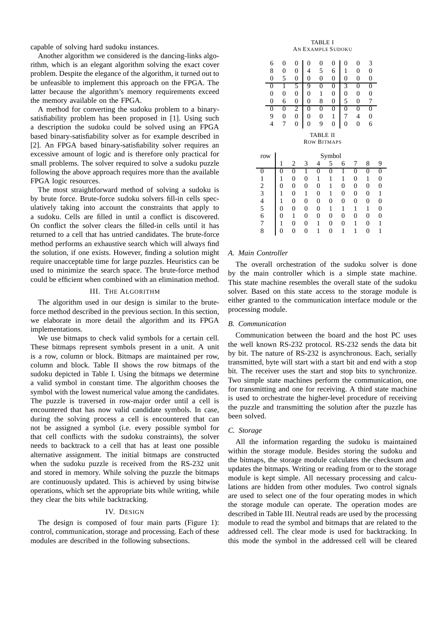capable of solving hard sudoku instances.

Another algorithm we considered is the dancing-links algorithm, which is an elegant algorithm solving the exact cover problem. Despite the elegance of the algorithm, it turned out to be unfeasible to implement this approach on the FPGA. The latter because the algorithm's memory requirements exceed the memory available on the FPGA.

A method for converting the sudoku problem to a binarysatisfiability problem has been proposed in [1]. Using such a description the sudoku could be solved using an FPGA based binary-satisfiability solver as for example described in [2]. An FPGA based binary-satisfiability solver requires an excessive amount of logic and is therefore only practical for small problems. The solver required to solve a sudoku puzzle following the above approach requires more than the available FPGA logic resources.

The most straightforward method of solving a sudoku is by brute force. Brute-force sudoku solvers fill-in cells speculatively taking into account the constraints that apply to a sudoku. Cells are filled in until a conflict is discovered. On conflict the solver clears the filled-in cells until it has returned to a cell that has untried candidates. The brute-force method performs an exhaustive search which will always find the solution, if one exists. However, finding a solution might require unacceptable time for large puzzles. Heuristics can be used to minimize the search space. The brute-force method could be efficient when combined with an elimination method.

# III. THE ALGORITHM

The algorithm used in our design is similar to the bruteforce method described in the previous section. In this section, we elaborate in more detail the algorithm and its FPGA implementations.

We use bitmaps to check valid symbols for a certain cell. These bitmaps represent symbols present in a unit. A unit is a row, column or block. Bitmaps are maintained per row, column and block. Table II shows the row bitmaps of the sudoku depicted in Table I. Using the bitmaps we determine a valid symbol in constant time. The algorithm chooses the symbol with the lowest numerical value among the candidates. The puzzle is traversed in row-major order until a cell is encountered that has now valid candidate symbols. In case, during the solving process a cell is encountered that can not be assigned a symbol (i.e. every possible symbol for that cell conflicts with the sudoku constraints), the solver needs to backtrack to a cell that has at least one possible alternative assignment. The initial bitmaps are constructed when the sudoku puzzle is received from the RS-232 unit and stored in memory. While solving the puzzle the bitmaps are continuously updated. This is achieved by using bitwise operations, which set the appropriate bits while writing, while they clear the bits while backtracking.

### IV. DESIGN

The design is composed of four main parts (Figure 1): control, communication, storage and processing. Each of these modules are described in the following subsections.



| ν              | ν              | v              | ν              | ı        | ν                  | ν        | ν              | υ              |   |
|----------------|----------------|----------------|----------------|----------|--------------------|----------|----------------|----------------|---|
| $\overline{0}$ | 6              | 0              | 0              | 8        | 0                  | 5        | 0              | 7              |   |
| $\overline{0}$ | $\overline{0}$ | $\overline{2}$ | 0              | 0        | 0                  | $\Omega$ | 0              | 0              |   |
| 9              | $\overline{0}$ | 0              | 0              | 0        | 1                  | 7        | 4              | $\overline{0}$ |   |
| $\overline{4}$ | 7              | 0              | 0              | 9        | 0                  | 0        | $\overline{0}$ | 6              |   |
|                |                |                |                | TABLE II |                    |          |                |                |   |
|                |                |                |                |          | <b>ROW BITMAPS</b> |          |                |                |   |
| row            | Symbol         |                |                |          |                    |          |                |                |   |
|                | 1              | 2              | 3              | 4        | 5                  | 6        |                | 8              | 9 |
| 0              | 0              | 0              | 1              | 0        | 0                  | 1        | 0              | 0              | 0 |
| 1              | 1              | 0              | $\overline{0}$ | 1        | 1                  | 1        | 0              | 1              | 0 |
| $\overline{c}$ | 0              | 0              | $\overline{0}$ | 0        | 1                  | 0        | 0              | $\overline{0}$ | 0 |
| $\overline{3}$ | 1              | 0              | 1              | 0        | 1                  | 0        | 0              | 0              | 1 |
| $\frac{4}{5}$  | 1              | 0              | $\overline{0}$ | 0        | 0                  | 0        | 0              | 0              | 0 |
|                | 0              | 0              | $\overline{0}$ | 0        | 1                  | 1        | 1              | 1              | 0 |
| 6              | 0              | 1              | 0              | 0        | 0                  | 0        | 0              | 0              | 0 |
| 7              | 1              | 0              | 0              |          | 0                  | 0        |                | 0              | 1 |

#### *A. Main Controller*

The overall orchestration of the sudoku solver is done by the main controller which is a simple state machine. This state machine resembles the overall state of the sudoku solver. Based on this state access to the storage module is either granted to the communication interface module or the processing module.

8 0 0 0 1 0 1 1 0 1

### *B. Communication*

Communication between the board and the host PC uses the well known RS-232 protocol. RS-232 sends the data bit by bit. The nature of RS-232 is asynchronous. Each, serially transmitted, byte will start with a start bit and end with a stop bit. The receiver uses the start and stop bits to synchronize. Two simple state machines perform the communication, one for transmitting and one for receiving. A third state machine is used to orchestrate the higher-level procedure of receiving the puzzle and transmitting the solution after the puzzle has been solved.

#### *C. Storage*

All the information regarding the sudoku is maintained within the storage module. Besides storing the sudoku and the bitmaps, the storage module calculates the checksum and updates the bitmaps. Writing or reading from or to the storage module is kept simple. All necessary processing and calculations are hidden from other modules. Two control signals are used to select one of the four operating modes in which the storage module can operate. The operation modes are described in Table III. Neutral reads are used by the processing module to read the symbol and bitmaps that are related to the addressed cell. The clear mode is used for backtracking. In this mode the symbol in the addressed cell will be cleared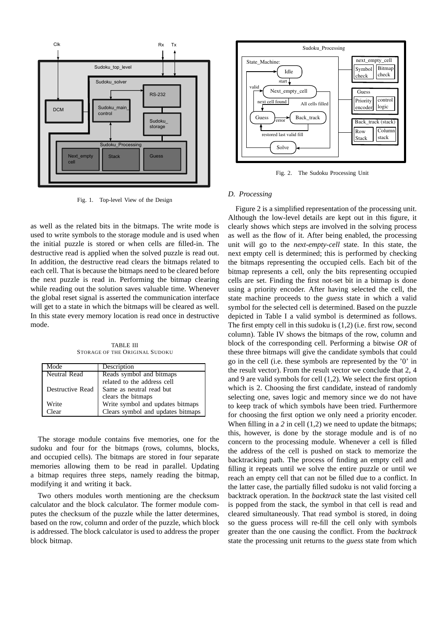

Fig. 1. Top-level View of the Design

as well as the related bits in the bitmaps. The write mode is used to write symbols to the storage module and is used when the initial puzzle is stored or when cells are filled-in. The destructive read is applied when the solved puzzle is read out. In addition, the destructive read clears the bitmaps related to each cell. That is because the bitmaps need to be cleared before the next puzzle is read in. Performing the bitmap clearing while reading out the solution saves valuable time. Whenever the global reset signal is asserted the communication interface will get to a state in which the bitmaps will be cleared as well. In this state every memory location is read once in destructive mode.

TABLE III STORAGE OF THE ORIGINAL SUDOKU

| Mode             | Description                       |  |  |  |
|------------------|-----------------------------------|--|--|--|
| Neutral Read     | Reads symbol and bitmaps          |  |  |  |
|                  | related to the address cell       |  |  |  |
| Destructive Read | Same as neutral read but          |  |  |  |
|                  | clears the bitmaps                |  |  |  |
| Write            | Write symbol and updates bitmaps  |  |  |  |
| Clear            | Clears symbol and updates bitmaps |  |  |  |

The storage module contains five memories, one for the sudoku and four for the bitmaps (rows, columns, blocks, and occupied cells). The bitmaps are stored in four separate memories allowing them to be read in parallel. Updating a bitmap requires three steps, namely reading the bitmap, modifying it and writing it back.

Two others modules worth mentioning are the checksum calculator and the block calculator. The former module computes the checksum of the puzzle while the latter determines, based on the row, column and order of the puzzle, which block is addressed. The block calculator is used to address the proper block bitmap.



Fig. 2. The Sudoku Processing Unit

## *D. Processing*

Figure 2 is a simplified representation of the processing unit. Although the low-level details are kept out in this figure, it clearly shows which steps are involved in the solving process as well as the flow of it. After being enabled, the processing unit will go to the *next-empty-cell* state. In this state, the next empty cell is determined; this is performed by checking the bitmaps representing the occupied cells. Each bit of the bitmap represents a cell, only the bits representing occupied cells are set. Finding the first not-set bit in a bitmap is done using a priority encoder. After having selected the cell, the state machine proceeds to the *guess* state in which a valid symbol for the selected cell is determined. Based on the puzzle depicted in Table I a valid symbol is determined as follows. The first empty cell in this sudoku is (1,2) (i.e. first row, second column). Table IV shows the bitmaps of the row, column and block of the corresponding cell. Performing a bitwise *OR* of these three bitmaps will give the candidate symbols that could go in the cell (i.e. these symbols are represented by the '0' in the result vector). From the result vector we conclude that 2, 4 and 9 are valid symbols for cell (1,2). We select the first option which is 2. Choosing the first candidate, instead of randomly selecting one, saves logic and memory since we do not have to keep track of which symbols have been tried. Furthermore for choosing the first option we only need a priority encoder. When filling in a 2 in cell (1,2) we need to update the bitmaps; this, however, is done by the storage module and is of no concern to the processing module. Whenever a cell is filled the address of the cell is pushed on stack to memorize the backtracking path. The process of finding an empty cell and filling it repeats until we solve the entire puzzle or until we reach an empty cell that can not be filled due to a conflict. In the latter case, the partially filled sudoku is not valid forcing a backtrack operation. In the *backtrack* state the last visited cell is popped from the stack, the symbol in that cell is read and cleared simultaneously. That read symbol is stored, in doing so the guess process will re-fill the cell only with symbols greater than the one causing the conflict. From the *backtrack* state the processing unit returns to the *guess* state from which